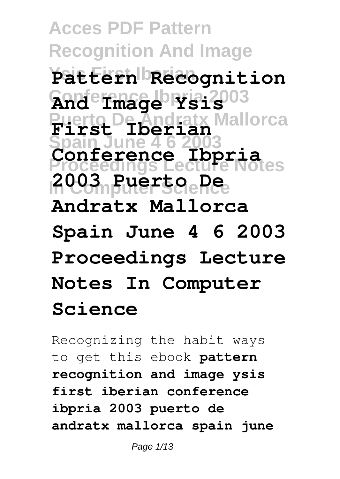**Acces PDF Pattern Recognition And Image Ysis First Iberian Pattern Recognition Conference Ibpria 2003 And Image Ysis Puerto De Andratx Mallorca First Iberian Spain June 4 6 2003 Proceedings Lecture Notes In Computer Science 2003 Puerto De Conference Ibpria Andratx Mallorca Spain June 4 6 2003 Proceedings Lecture Notes In Computer Science**

Recognizing the habit ways to get this ebook **pattern recognition and image ysis first iberian conference ibpria 2003 puerto de andratx mallorca spain june**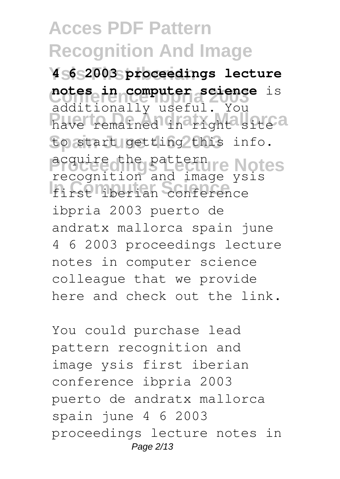**Ysis First Iberian 4 6 2003 proceedings lecture notes in computer science** is have remained in right<sup>a</sup> site a to start getting this info. **Proceedings Lecture Notes** acquire the pattern **In Computer Science** first iberian conference additionally useful. You recognition and image ysis ibpria 2003 puerto de andratx mallorca spain june 4 6 2003 proceedings lecture notes in computer science colleague that we provide here and check out the link.

You could purchase lead pattern recognition and image ysis first iberian conference ibpria 2003 puerto de andratx mallorca spain june 4 6 2003 proceedings lecture notes in Page 2/13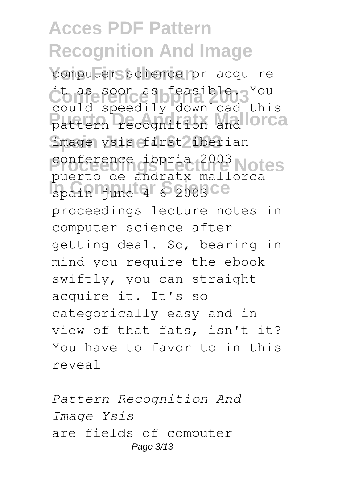computer science or acquire it as soon as feasible. You pattern recognition and **OCCA** image ysis first lberian conference ibpria 2003 Notes **In Computer Spain** June 4 6 2003 CC could speedily download this puerto de andratx mallorca proceedings lecture notes in computer science after getting deal. So, bearing in mind you require the ebook swiftly, you can straight acquire it. It's so categorically easy and in view of that fats, isn't it? You have to favor to in this reveal

*Pattern Recognition And Image Ysis* are fields of computer Page 3/13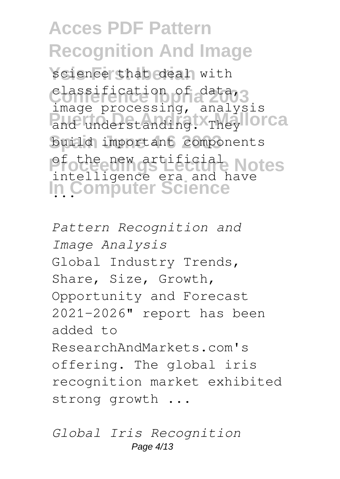science that deal with classification of data,3 and understanding. They **lorca Spain June 4 6 2003** build important components Pfothe new artificial Notes **In Computer Science** ... image processing, analysis intelligence era and have

*Pattern Recognition and Image Analysis* Global Industry Trends, Share, Size, Growth, Opportunity and Forecast 2021-2026" report has been added to ResearchAndMarkets.com's offering. The global iris recognition market exhibited strong growth ...

*Global Iris Recognition* Page 4/13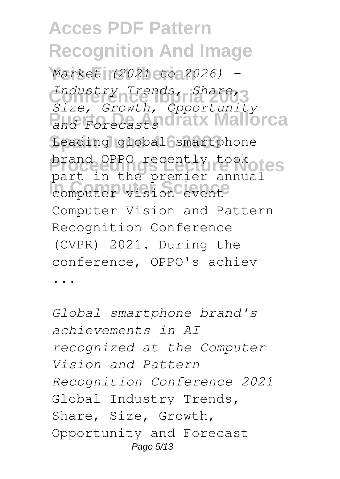**Ysis First Iberian** *Market (2021 to 2026) -* Industry Trends, Share, **Puerto De Andratx Mallorca** *and Forecasts* Leading global smartphone brand OPPO recently tookotes **In the premiser and** *Size, Growth, Opportunity* part in the premier annual Computer Vision and Pattern Recognition Conference (CVPR) 2021. During the conference, OPPO's achiev ...

*Global smartphone brand's achievements in AI recognized at the Computer Vision and Pattern Recognition Conference 2021* Global Industry Trends, Share, Size, Growth, Opportunity and Forecast Page 5/13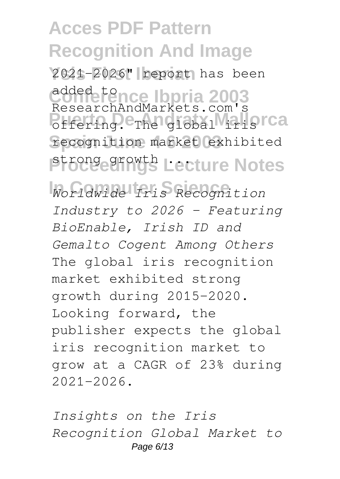**Ysis First Iberian** 2021-2026" report has been added tence Ibpria 2003 **Puerto De Andreis Marshall** is can be considered to be a set of the set of the set of the set of the set of the set of the set of the set of the set of the set of the set of the set of the set of the set of the set of the **Spain June 4 6 2003** recognition market exhibited **Proceedings Lecture Notes** ResearchAndMarkets.com's

**In Computer Science** *Worldwide Iris Recognition Industry to 2026 - Featuring BioEnable, Irish ID and Gemalto Cogent Among Others* The global iris recognition market exhibited strong growth during 2015-2020. Looking forward, the publisher expects the global iris recognition market to grow at a CAGR of 23% during 2021-2026.

*Insights on the Iris Recognition Global Market to* Page 6/13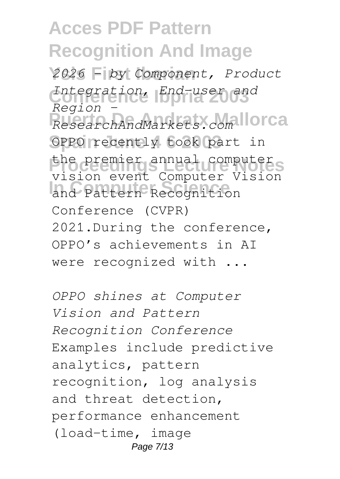**Ysis First Iberian** *2026 - by Component, Product* **Conference Ibpria 2003** *Integration, End-user and* **Puerto De Andratx Mallorca** *ResearchAndMarkets.com* OPPO recently took part in the premier annual computer **In Computer Science** and Pattern Recognition *Region*  vision event Computer Vision Conference (CVPR) 2021.During the conference, OPPO's achievements in AI were recognized with ...

*OPPO shines at Computer Vision and Pattern Recognition Conference* Examples include predictive analytics, pattern recognition, log analysis and threat detection, performance enhancement (load-time, image Page 7/13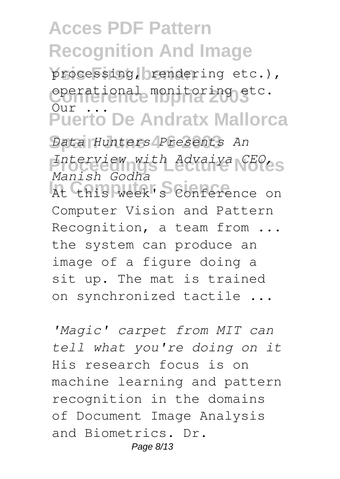processing, crendering etc.), **Conference Ibpria 2003** operational monitoring etc. **Puerto De Andratx Mallorca**  $\overline{O}$ ur

**Spain June 4 6 2003** *Data Hunters Presents An* **Proceedings Lecture Notes** *Interview with Advaiya CEO,* **In Computer Science** At this week's Conference on *Manish Godha* Computer Vision and Pattern Recognition, a team from ... the system can produce an image of a figure doing a sit up. The mat is trained on synchronized tactile ...

*'Magic' carpet from MIT can tell what you're doing on it* His research focus is on machine learning and pattern recognition in the domains of Document Image Analysis and Biometrics. Dr. Page 8/13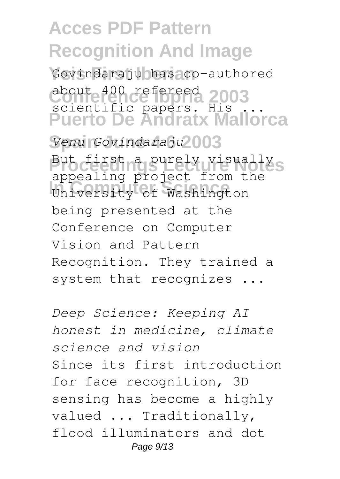**Ysis First Iberian** Govindaraju has co-authored about 400 refereed 2003 **Puerto De Andratx Mallorca** scientific papers. His ...

**Spain June 4 6 2003** *Venu Govindaraju* But first a purely visually<sub>S</sub> **In Computer Science** University of Washington appealing project from the being presented at the Conference on Computer Vision and Pattern Recognition. They trained a system that recognizes ...

*Deep Science: Keeping AI honest in medicine, climate science and vision* Since its first introduction for face recognition, 3D sensing has become a highly valued ... Traditionally, flood illuminators and dot Page 9/13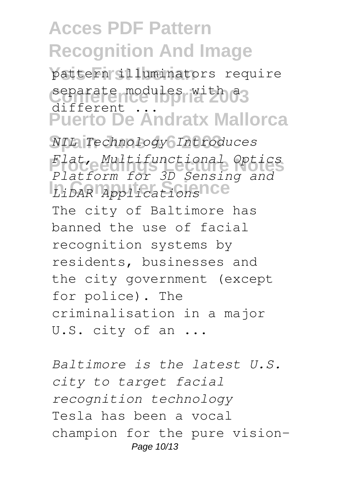**Ysis First Iberian** pattern illuminators require separate modules with a3 **Puerto De Andratx Mallorca** different ...

**Spain June 4 6 2003** *NIL Technology Introduces* **Proceedings Lecture Notes** *Flat, Multifunctional Optics* **In Computer Science** *LiDAR Applications Platform for 3D Sensing and* The city of Baltimore has banned the use of facial recognition systems by residents, businesses and the city government (except for police). The criminalisation in a major U.S. city of an ...

*Baltimore is the latest U.S. city to target facial recognition technology* Tesla has been a vocal champion for the pure vision-Page 10/13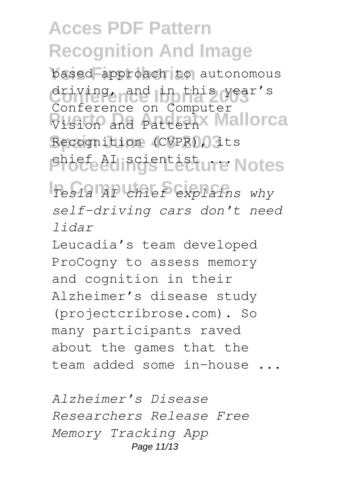based approach to autonomous driving, and in this year's Vision and PatternX Mallorca Recognition (CVPR), its **Phoceedings Lecture Notes** Conference on Computer

**In Computer Science** *Tesla AI chief explains why self-driving cars don't need lidar*

Leucadia's team developed ProCogny to assess memory and cognition in their Alzheimer's disease study (projectcribrose.com). So many participants raved about the games that the team added some in-house ...

*Alzheimer's Disease Researchers Release Free Memory Tracking App* Page 11/13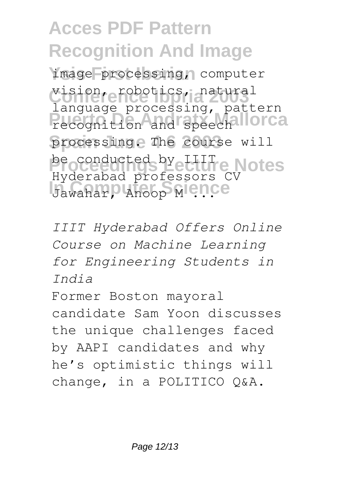**Ysis First Iberian** image processing, computer **Conference Ibpria 2003** vision, robotics, natural recognition and speech llorca processing. The course will be conducted by **LIIT** e Notes **Jawahar, Anoop Mence** language processing, pattern Hyderabad professors CV

*IIIT Hyderabad Offers Online Course on Machine Learning for Engineering Students in India*

Former Boston mayoral candidate Sam Yoon discusses the unique challenges faced by AAPI candidates and why he's optimistic things will change, in a POLITICO Q&A.